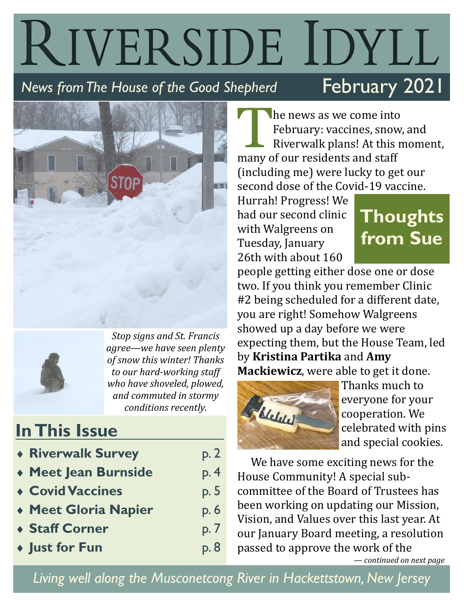# RIVERSIDE IDYLL February 2021 *News from The House of the Good Shepherd*





*Stop signs and St. Francis agree—we have seen plenty of snow this winter! Thanks to our hard-working staff who have shoveled, plowed, and commuted in stormy conditions recently.*

### **In This Issue**

| <b>* Riverwalk Survey</b>   | p. 2 |
|-----------------------------|------|
| ◆ Meet Jean Burnside        | p.4  |
| <b>Covid Vaccines</b>       | p. 5 |
| <b>* Meet Gloria Napier</b> | p.6  |
| ◆ Staff Corner              | p. 7 |
| • Just for Fun              | p. 8 |

The news as we come into<br>February: vaccines, snow<br>Riverwalk plans! At this is<br>many of our residents and staff he news as we come into February: vaccines, snow, and Riverwalk plans! At this moment, (including me) were lucky to get our second dose of the Covid-19 vaccine.

Hurrah! Progress! We had our second clinic with Walgreens on Tuesday, January 26th with about 160

# **Thoughts from Sue**

people getting either dose one or dose two. If you think you remember Clinic #2 being scheduled for a different date, you are right! Somehow Walgreens showed up a day before we were expecting them, but the House Team, led by **Kristina Partika** and **Amy Mackiewicz**, were able to get it done.



Thanks much to everyone for your cooperation. We celebrated with pins and special cookies.

We have some exciting news for the House Community! A special subcommittee of the Board of Trustees has been working on updating our Mission, Vision, and Values over this last year. At our January Board meeting, a resolution passed to approve the work of the

*— continued on next page* 

*Living well along the Musconetcong River in Hackettstown, New Jersey*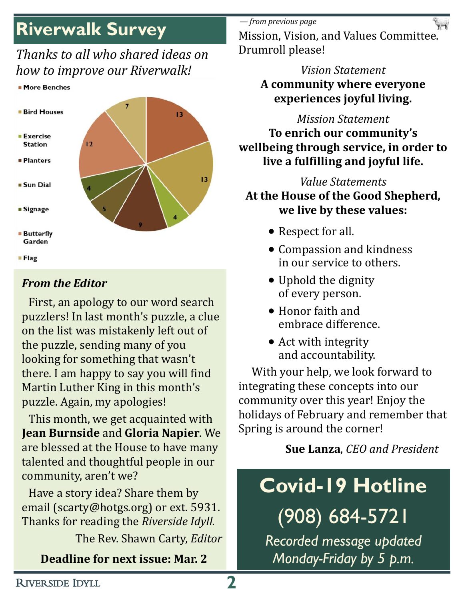## **Riverwalk Survey**

### *Thanks to all who shared ideas on how to improve our Riverwalk!*





#### *From the Editor*

First, an apology to our word search puzzlers! In last month's puzzle, a clue on the list was mistakenly left out of the puzzle, sending many of you looking for something that wasn't there. I am happy to say you will find Martin Luther King in this month's puzzle. Again, my apologies!

This month, we get acquainted with **Jean Burnside** and **Gloria Napier**. We are blessed at the House to have many talented and thoughtful people in our community, aren't we?

Have a story idea? Share them by email (scarty@hotgs.org) or ext. 5931. Thanks for reading the *Riverside Idyll.*

The Rev. Shawn Carty, *Editor*

#### **Deadline for next issue: Mar. 2**

*— from previous page*

Mission, Vision, and Values Committee. Drumroll please!

### *Vision Statement* **A community where everyone experiences joyful living.**

#### *Mission Statement*

**To enrich our community's wellbeing through service, in order to live a fulfilling and joyful life.**

### *Value Statements* **At the House of the Good Shepherd, we live by these values:**

- Respect for all.
- Compassion and kindness in our service to others.
- Uphold the dignity of every person.
- Honor faith and embrace difference.
- Act with integrity and accountability.

With your help, we look forward to integrating these concepts into our community over this year! Enjoy the holidays of February and remember that Spring is around the corner!

### **Sue Lanza**, *CEO and President*

# **Covid-19 Hotline**

(908) 684-5721

*Recorded message updated Monday-Friday by 5 p.m.*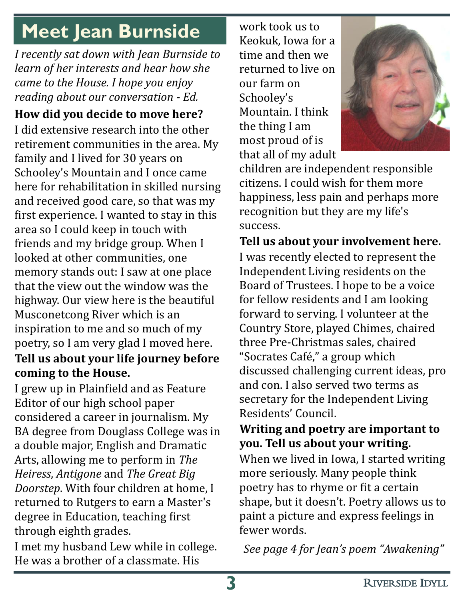# **Meet Jean Burnside**

*I recently sat down with Jean Burnside to learn of her interests and hear how she came to the House. I hope you enjoy reading about our conversation - Ed.*

**How did you decide to move here?**

I did extensive research into the other retirement communities in the area. My family and I lived for 30 years on Schooley's Mountain and I once came here for rehabilitation in skilled nursing and received good care, so that was my first experience. I wanted to stay in this area so I could keep in touch with friends and my bridge group. When I looked at other communities, one memory stands out: I saw at one place that the view out the window was the highway. Our view here is the beautiful Musconetcong River which is an inspiration to me and so much of my poetry, so I am very glad I moved here. **Tell us about your life journey before coming to the House.**

I grew up in Plainfield and as Feature Editor of our high school paper considered a career in journalism. My BA degree from Douglass College was in a double major, English and Dramatic Arts, allowing me to perform in *The Heiress*, *Antigone* and *The Great Big Doorstep*. With four children at home, I returned to Rutgers to earn a Master's degree in Education, teaching first through eighth grades.

I met my husband Lew while in college. He was a brother of a classmate. His

work took us to Keokuk, Iowa for a time and then we returned to live on our farm on Schooley's Mountain. I think the thing I am most proud of is that all of my adult



children are independent responsible citizens. I could wish for them more happiness, less pain and perhaps more recognition but they are my life's success.

**Tell us about your involvement here.** I was recently elected to represent the Independent Living residents on the Board of Trustees. I hope to be a voice for fellow residents and I am looking forward to serving. I volunteer at the Country Store, played Chimes, chaired three Pre-Christmas sales, chaired "Socrates Café," a group which discussed challenging current ideas, pro and con. I also served two terms as secretary for the Independent Living Residents' Council.

### **Writing and poetry are important to you. Tell us about your writing.**

When we lived in Iowa, I started writing more seriously. Many people think poetry has to rhyme or fit a certain shape, but it doesn't. Poetry allows us to paint a picture and express feelings in fewer words.

*See page 4 for Jean's poem "Awakening"*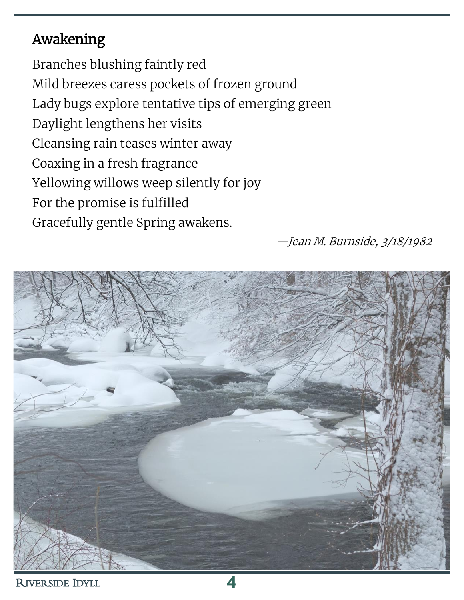### Awakening

Branches blushing faintly red Mild breezes caress pockets of frozen ground Lady bugs explore tentative tips of emerging green Daylight lengthens her visits Cleansing rain teases winter away Coaxing in a fresh fragrance Yellowing willows weep silently for joy For the promise is fulfilled Gracefully gentle Spring awakens.

—Jean M. Burnside, 3/18/1982

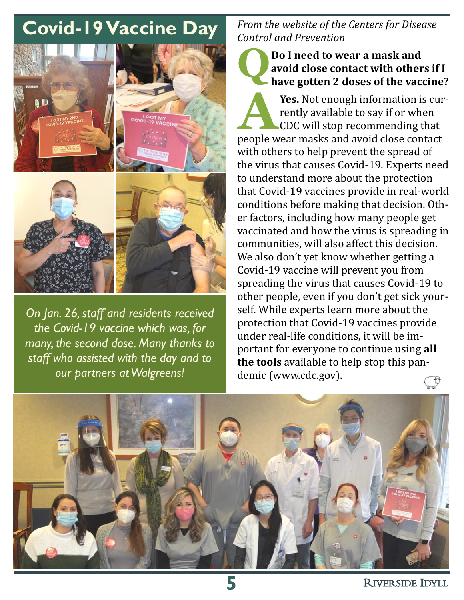## **Covid-19 Vaccine Day**



*On Jan. 26, staff and residents received the Covid-19 vaccine which was, for many, the second dose. Many thanks to staff who assisted with the day and to our partners at Walgreens!*

#### *From the website of the Centers for Disease Control and Prevention*

#### **Q Do I need to wear a mask and avoid close contact with others if I have gotten 2 doses of the vaccine?**

**A Yes.** Not enough information is currently available to say if or when CDC will stop recommending that people [wear masks a](https://www.cdc.gov/coronavirus/2019-ncov/prevent-getting-sick/diy-cloth-face-coverings.html)nd [avoid close contact](https://www.cdc.gov/coronavirus/2019-ncov/prevent-getting-sick/social-distancing.html)  [with others](https://www.cdc.gov/coronavirus/2019-ncov/prevent-getting-sick/social-distancing.html) to help prevent the spread of the virus that causes Covid-19. Experts need to understand more about the protection that Covid-19 vaccines provide in real-world conditions before making that decision. Other factors, including how many people get vaccinated and how the virus is spreading in communities, will also affect this decision. We also don't yet know whether getting a Covid-19 vaccine will prevent you from spreading the virus that causes Covid-19 to other people, even if you don't get sick yourself. While experts learn more about the protection that Covid-19 vaccines provide under real-life conditions, it will be important for everyone to continue using **all the tools** available to help stop this pandemic (www.cdc.gov). $\mathbb{C}$ 

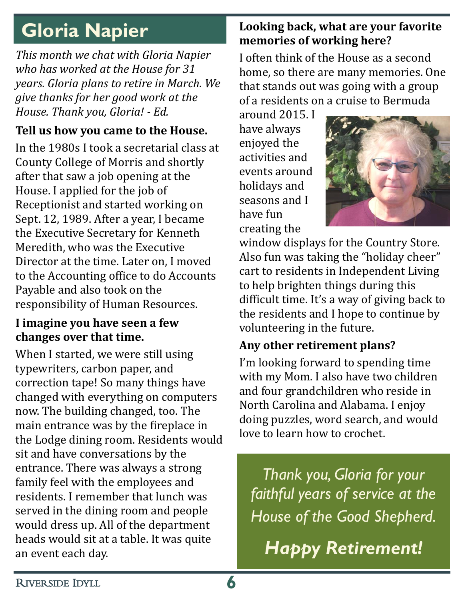# **Gloria Napier**

*This month we chat with Gloria Napier who has worked at the House for 31 years. Gloria plans to retire in March. We give thanks for her good work at the House. Thank you, Gloria! - Ed.*

### **Tell us how you came to the House.**

In the 1980s I took a secretarial class at County College of Morris and shortly after that saw a job opening at the House. I applied for the job of Receptionist and started working on Sept. 12, 1989. After a year, I became the Executive Secretary for Kenneth Meredith, who was the Executive Director at the time. Later on, I moved to the Accounting office to do Accounts Payable and also took on the responsibility of Human Resources.

### **I imagine you have seen a few changes over that time.**

When I started, we were still using typewriters, carbon paper, and correction tape! So many things have changed with everything on computers now. The building changed, too. The main entrance was by the fireplace in the Lodge dining room. Residents would sit and have conversations by the entrance. There was always a strong family feel with the employees and residents. I remember that lunch was served in the dining room and people would dress up. All of the department heads would sit at a table. It was quite an event each day.

### **Looking back, what are your favorite memories of working here?**

I often think of the House as a second home, so there are many memories. One that stands out was going with a group of a residents on a cruise to Bermuda

around 2015. I have always enjoyed the activities and events around holidays and seasons and I have fun creating the



window displays for the Country Store. Also fun was taking the "holiday cheer" cart to residents in Independent Living to help brighten things during this difficult time. It's a way of giving back to the residents and I hope to continue by volunteering in the future.

### **Any other retirement plans?**

I'm looking forward to spending time with my Mom. I also have two children and four grandchildren who reside in North Carolina and Alabama. I enjoy doing puzzles, word search, and would love to learn how to crochet.

*Thank you, Gloria for your faithful years of service at the House of the Good Shepherd.*

*Happy Retirement!*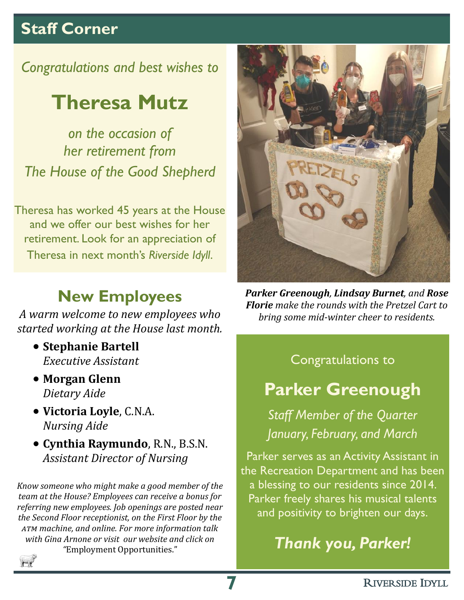### **Staff Corner**

*Congratulations and best wishes to*

## **Theresa Mutz**

*on the occasion of her retirement from The House of the Good Shepherd*

Theresa has worked 45 years at the House and we offer our best wishes for her retirement. Look for an appreciation of Theresa in next month's *Riverside Idyll*.

### **New Employees**

*A warm welcome to new employees who started working at the House last month.*

- **Stephanie Bartell** *Executive Assistant*
- **Morgan Glenn** *Dietary Aide*
- **Victoria Loyle**, C.N.A. *Nursing Aide*
- **Cynthia Raymundo**, R.N., B.S.N. *Assistant Director of Nursing*

*Know someone who might make a good member of the team at the House? Employees can receive a bonus for referring new employees. Job openings are posted near the Second Floor receptionist, on the First Floor by the atm machine, and online. For more information talk with Gina Arnone or visit our website and click on "*Employment Opportunities."



*Parker Greenough, Lindsay Burnet, and Rose Florie make the rounds with the Pretzel Cart to bring some mid-winter cheer to residents.*

### Congratulations to

### **Parker Greenough**

*Staff Member of the Quarter January, February, and March*

Parker serves as an Activity Assistant in the Recreation Department and has been a blessing to our residents since 2014. Parker freely shares his musical talents and positivity to brighten our days.

*Thank you, Parker!*